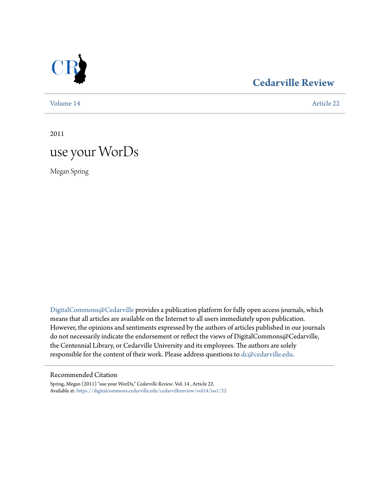

## **[Cedarville Review](https://digitalcommons.cedarville.edu/cedarvillereview?utm_source=digitalcommons.cedarville.edu%2Fcedarvillereview%2Fvol14%2Fiss1%2F22&utm_medium=PDF&utm_campaign=PDFCoverPages)**

[Volume 14](https://digitalcommons.cedarville.edu/cedarvillereview/vol14?utm_source=digitalcommons.cedarville.edu%2Fcedarvillereview%2Fvol14%2Fiss1%2F22&utm_medium=PDF&utm_campaign=PDFCoverPages) [Article 22](https://digitalcommons.cedarville.edu/cedarvillereview/vol14/iss1/22?utm_source=digitalcommons.cedarville.edu%2Fcedarvillereview%2Fvol14%2Fiss1%2F22&utm_medium=PDF&utm_campaign=PDFCoverPages)

2011

# use your WorDs

Megan Spring

[DigitalCommons@Cedarville](http://digitalcommons.cedarville.edu) provides a publication platform for fully open access journals, which means that all articles are available on the Internet to all users immediately upon publication. However, the opinions and sentiments expressed by the authors of articles published in our journals do not necessarily indicate the endorsement or reflect the views of DigitalCommons@Cedarville, the Centennial Library, or Cedarville University and its employees. The authors are solely responsible for the content of their work. Please address questions to [dc@cedarville.edu](mailto:dc@cedarville.edu).

#### Recommended Citation

Spring, Megan (2011) "use your WorDs," *Cedarville Review*: Vol. 14 , Article 22. Available at: [https://digitalcommons.cedarville.edu/cedarvillereview/vol14/iss1/22](https://digitalcommons.cedarville.edu/cedarvillereview/vol14/iss1/22?utm_source=digitalcommons.cedarville.edu%2Fcedarvillereview%2Fvol14%2Fiss1%2F22&utm_medium=PDF&utm_campaign=PDFCoverPages)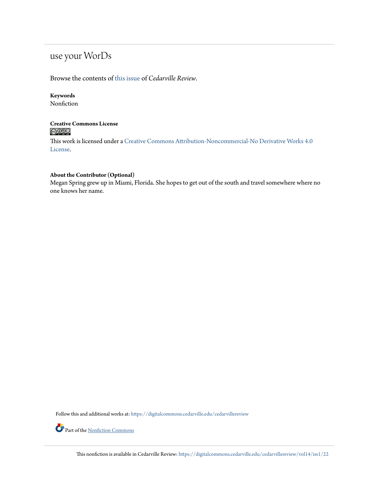# use your WorDs

#### Browse the contents of [this issue](https://digitalcommons.cedarville.edu/cedarvillereview/vol14/iss1) of *Cedarville Review*.

#### **Keywords**

Nonfiction

#### **Creative Commons License**  $\bigcirc$   $\circ$

This work is licensed under a [Creative Commons Attribution-Noncommercial-No Derivative Works 4.0](http://creativecommons.org/licenses/by-nc-nd/4.0/) [License.](http://creativecommons.org/licenses/by-nc-nd/4.0/)

#### **About the Contributor (Optional)**

Megan Spring grew up in Miami, Florida. She hopes to get out of the south and travel somewhere where no one knows her name.

Follow this and additional works at: [https://digitalcommons.cedarville.edu/cedarvillereview](https://digitalcommons.cedarville.edu/cedarvillereview?utm_source=digitalcommons.cedarville.edu%2Fcedarvillereview%2Fvol14%2Fiss1%2F22&utm_medium=PDF&utm_campaign=PDFCoverPages)



This nonfiction is available in Cedarville Review: [https://digitalcommons.cedarville.edu/cedarvillereview/vol14/iss1/22](https://digitalcommons.cedarville.edu/cedarvillereview/vol14/iss1/22?utm_source=digitalcommons.cedarville.edu%2Fcedarvillereview%2Fvol14%2Fiss1%2F22&utm_medium=PDF&utm_campaign=PDFCoverPages)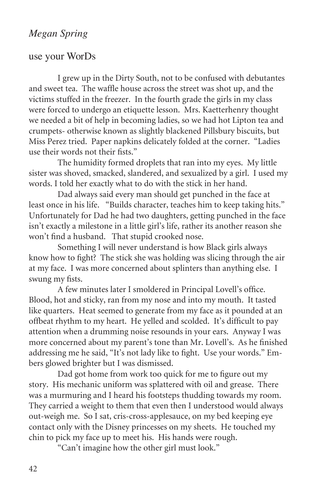## *Megan Spring*

## use your WorDs

I grew up in the Dirty South, not to be confused with debutantes and sweet tea. The waffle house across the street was shot up, and the victims stuffed in the freezer. In the fourth grade the girls in my class were forced to undergo an etiquette lesson. Mrs. Kaetterhenry thought we needed a bit of help in becoming ladies, so we had hot Lipton tea and crumpets- otherwise known as slightly blackened Pillsbury biscuits, but Miss Perez tried. Paper napkins delicately folded at the corner. "Ladies use their words not their fists."

The humidity formed droplets that ran into my eyes. My little sister was shoved, smacked, slandered, and sexualized by a girl. I used my words. I told her exactly what to do with the stick in her hand.

Dad always said every man should get punched in the face at least once in his life. "Builds character, teaches him to keep taking hits." Unfortunately for Dad he had two daughters, getting punched in the face isn't exactly a milestone in a little girl's life, rather its another reason she won't find a husband. That stupid crooked nose.

Something I will never understand is how Black girls always know how to fight? The stick she was holding was slicing through the air at my face. I was more concerned about splinters than anything else. I swung my fists.

A few minutes later I smoldered in Principal Lovell's office. Blood, hot and sticky, ran from my nose and into my mouth. It tasted like quarters. Heat seemed to generate from my face as it pounded at an offbeat rhythm to my heart. He yelled and scolded. It's difficult to pay attention when a drumming noise resounds in your ears. Anyway I was more concerned about my parent's tone than Mr. Lovell's. As he finished addressing me he said, "It's not lady like to fight. Use your words." Embers glowed brighter but I was dismissed.

Dad got home from work too quick for me to figure out my story. His mechanic uniform was splattered with oil and grease. There was a murmuring and I heard his footsteps thudding towards my room. They carried a weight to them that even then I understood would always out-weigh me. So I sat, cris-cross-applesauce, on my bed keeping eye contact only with the Disney princesses on my sheets. He touched my chin to pick my face up to meet his. His hands were rough.

"Can't imagine how the other girl must look."